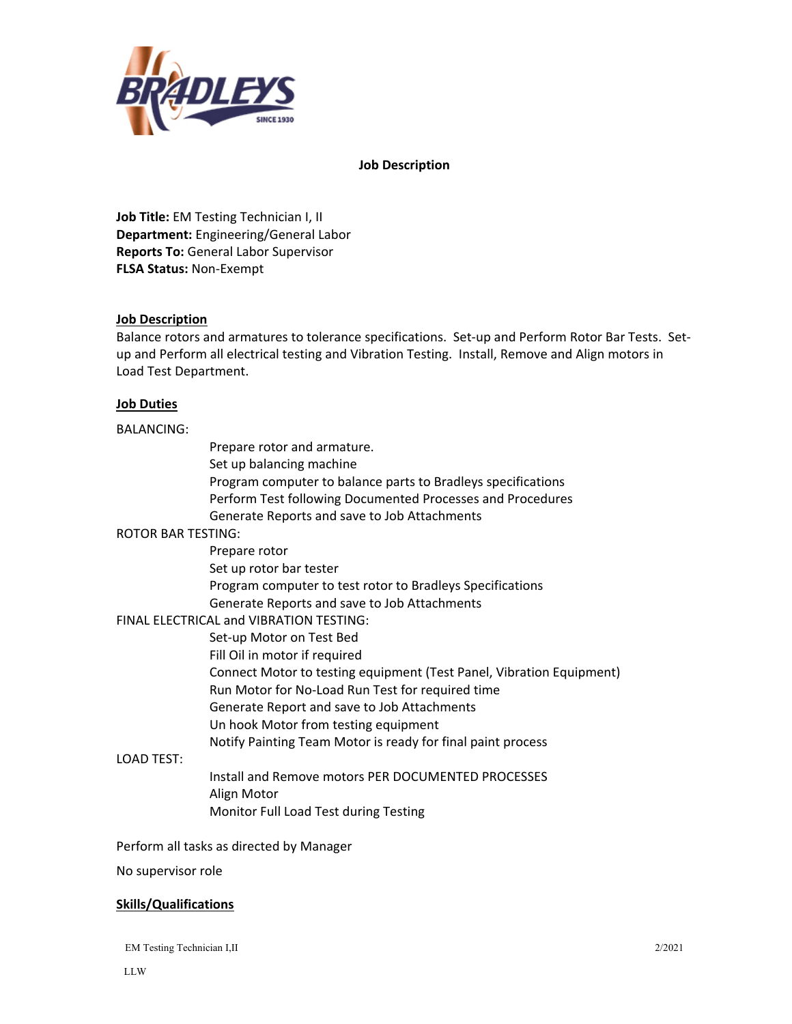

**Job Description** 

**Job Title:** EM Testing Technician I, II **Department:** Engineering/General Labor **Reports To:** General Labor Supervisor **FLSA Status:** Non‐Exempt

# **Job Description**

Balance rotors and armatures to tolerance specifications. Set‐up and Perform Rotor Bar Tests. Set‐ up and Perform all electrical testing and Vibration Testing. Install, Remove and Align motors in Load Test Department.

### **Job Duties**

#### BALANCING:

Prepare rotor and armature. Set up balancing machine Program computer to balance parts to Bradleys specifications Perform Test following Documented Processes and Procedures Generate Reports and save to Job Attachments

### ROTOR BAR TESTING:

 Prepare rotor Set up rotor bar tester Program computer to test rotor to Bradleys Specifications Generate Reports and save to Job Attachments FINAL ELECTRICAL and VIBRATION TESTING: Set‐up Motor on Test Bed Fill Oil in motor if required Connect Motor to testing equipment (Test Panel, Vibration Equipment) Run Motor for No‐Load Run Test for required time Generate Report and save to Job Attachments Un hook Motor from testing equipment

Notify Painting Team Motor is ready for final paint process

### LOAD TEST:

 Install and Remove motors PER DOCUMENTED PROCESSES Align Motor Monitor Full Load Test during Testing

Perform all tasks as directed by Manager

No supervisor role

### **Skills/Qualifications**

EM Testing Technician I,II 2/2021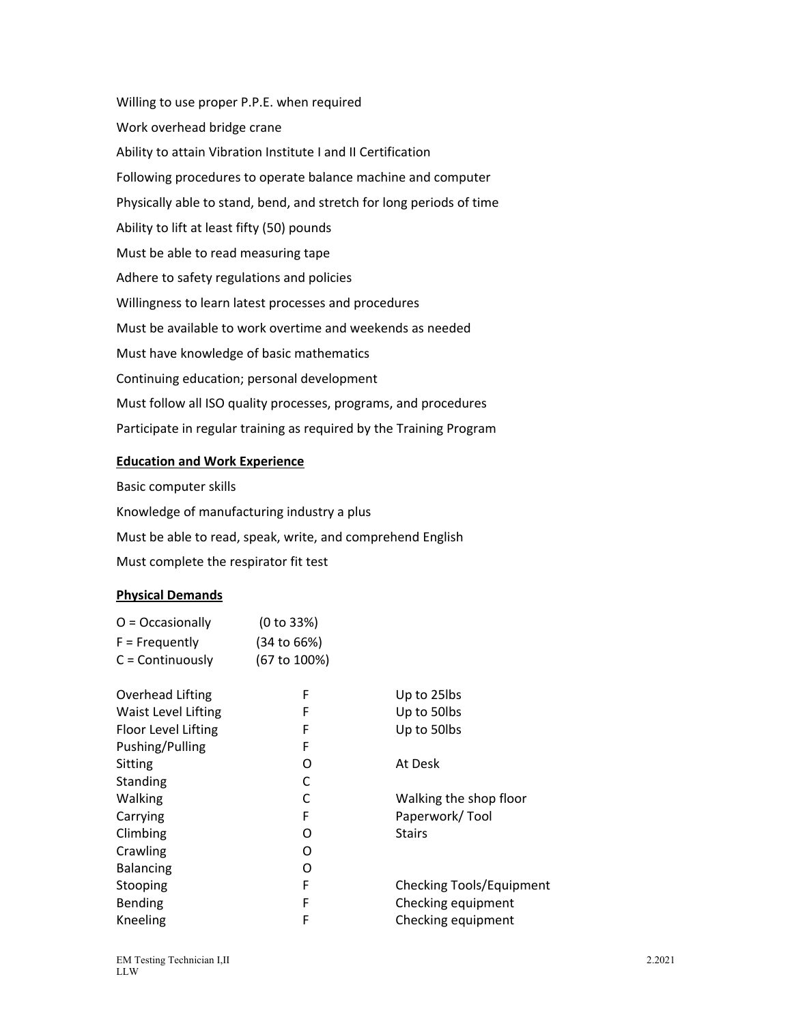Willing to use proper P.P.E. when required Work overhead bridge crane Ability to attain Vibration Institute I and II Certification Following procedures to operate balance machine and computer Physically able to stand, bend, and stretch for long periods of time Ability to lift at least fifty (50) pounds Must be able to read measuring tape Adhere to safety regulations and policies Willingness to learn latest processes and procedures Must be available to work overtime and weekends as needed Must have knowledge of basic mathematics Continuing education; personal development Must follow all ISO quality processes, programs, and procedures Participate in regular training as required by the Training Program

# **Education and Work Experience**

Basic computer skills Knowledge of manufacturing industry a plus Must be able to read, speak, write, and comprehend English Must complete the respirator fit test

# **Physical Demands**

| $O = Occasionally$ | (0 to 33%)   |
|--------------------|--------------|
| $F = Frequently$   | (34 to 66%)  |
| $C =$ Continuously | (67 to 100%) |

| Overhead Lifting    | F | Up to 25lbs              |
|---------------------|---|--------------------------|
| Waist Level Lifting | F | Up to 50lbs              |
| Floor Level Lifting | F | Up to 50lbs              |
| Pushing/Pulling     | F |                          |
| Sitting             | O | At Desk                  |
| Standing            | C |                          |
| Walking             | C | Walking the shop floor   |
| Carrying            | F | Paperwork/Tool           |
| Climbing            | O | <b>Stairs</b>            |
| Crawling            | O |                          |
| <b>Balancing</b>    | O |                          |
| Stooping            | F | Checking Tools/Equipment |
| <b>Bending</b>      | F | Checking equipment       |
| Kneeling            | F | Checking equipment       |